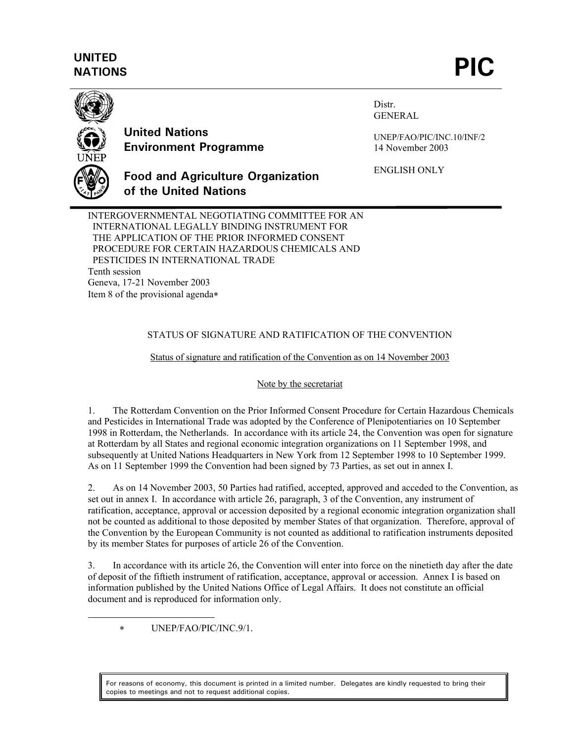# **UNITED**  UNITED<br>NATIONS **PIC**



<u>.</u>

**United Nations Environment Programme**

**of the United Nations**

Distr. GENERAL

UNEP/FAO/PIC/INC.10/INF/2 14 November 2003

ENGLISH ONLY

INTERGOVERNMENTAL NEGOTIATING COMMITTEE FOR AN INTERNATIONAL LEGALLY BINDING INSTRUMENT FOR THE APPLICATION OF THE PRIOR INFORMED CONSENT PROCEDURE FOR CERTAIN HAZARDOUS CHEMICALS AND PESTICIDES IN INTERNATIONAL TRADE Tenth session Geneva, 17-21 November 2003 Item 8 of the provisional agenda∗

**Food and Agriculture Organization** 

### STATUS OF SIGNATURE AND RATIFICATION OF THE CONVENTION

#### Status of signature and ratification of the Convention as on 14 November 2003

#### Note by the secretariat

1. The Rotterdam Convention on the Prior Informed Consent Procedure for Certain Hazardous Chemicals and Pesticides in International Trade was adopted by the Conference of Plenipotentiaries on 10 September 1998 in Rotterdam, the Netherlands. In accordance with its article 24, the Convention was open for signature at Rotterdam by all States and regional economic integration organizations on 11 September 1998, and subsequently at United Nations Headquarters in New York from 12 September 1998 to 10 September 1999. As on 11 September 1999 the Convention had been signed by 73 Parties, as set out in annex I.

2. As on 14 November 2003, 50 Parties had ratified, accepted, approved and acceded to the Convention, as set out in annex I. In accordance with article 26, paragraph, 3 of the Convention, any instrument of ratification, acceptance, approval or accession deposited by a regional economic integration organization shall not be counted as additional to those deposited by member States of that organization. Therefore, approval of the Convention by the European Community is not counted as additional to ratification instruments deposited by its member States for purposes of article 26 of the Convention.

3. In accordance with its article 26, the Convention will enter into force on the ninetieth day after the date of deposit of the fiftieth instrument of ratification, acceptance, approval or accession. Annex I is based on information published by the United Nations Office of Legal Affairs. It does not constitute an official document and is reproduced for information only.

∗ UNEP/FAO/PIC/INC.9/1.

For reasons of economy, this document is printed in a limited number. Delegates are kindly requested to bring their copies to meetings and not to request additional copies.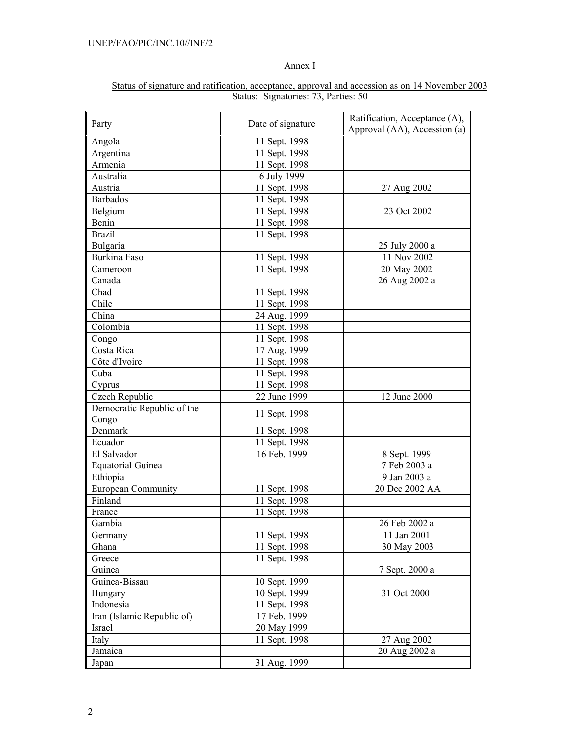## Annex I

| Status of signature and ratification, acceptance, approval and accession as on 14 November 2003 |  |  |  |  |  |  |  |  |  |
|-------------------------------------------------------------------------------------------------|--|--|--|--|--|--|--|--|--|
| Status: Signatories: 73, Parties: 50                                                            |  |  |  |  |  |  |  |  |  |

| Party                               | Date of signature | Ratification, Acceptance (A),<br>Approval (AA), Accession (a) |
|-------------------------------------|-------------------|---------------------------------------------------------------|
| Angola                              | 11 Sept. 1998     |                                                               |
| Argentina                           | 11 Sept. 1998     |                                                               |
| Armenia                             | 11 Sept. 1998     |                                                               |
| Australia                           | 6 July 1999       |                                                               |
| Austria                             | 11 Sept. 1998     | 27 Aug 2002                                                   |
| <b>Barbados</b>                     | 11 Sept. 1998     |                                                               |
| Belgium                             | 11 Sept. 1998     | 23 Oct 2002                                                   |
| Benin                               | 11 Sept. 1998     |                                                               |
| <b>Brazil</b>                       | 11 Sept. 1998     |                                                               |
| Bulgaria                            |                   | 25 July 2000 a                                                |
| <b>Burkina Faso</b>                 | 11 Sept. 1998     | 11 Nov 2002                                                   |
| Cameroon                            | 11 Sept. 1998     | 20 May 2002                                                   |
| Canada                              |                   | 26 Aug 2002 a                                                 |
| Chad                                | 11 Sept. 1998     |                                                               |
| Chile                               | 11 Sept. 1998     |                                                               |
| China                               | 24 Aug. 1999      |                                                               |
| Colombia                            | 11 Sept. 1998     |                                                               |
| Congo                               | 11 Sept. 1998     |                                                               |
| Costa Rica                          | 17 Aug. 1999      |                                                               |
| Côte d'Ivoire                       | 11 Sept. 1998     |                                                               |
| Cuba                                | 11 Sept. 1998     |                                                               |
| Cyprus                              | 11 Sept. 1998     |                                                               |
| Czech Republic                      | 22 June 1999      | 12 June 2000                                                  |
| Democratic Republic of the<br>Congo | 11 Sept. 1998     |                                                               |
| Denmark                             | 11 Sept. 1998     |                                                               |
| Ecuador                             | 11 Sept. 1998     |                                                               |
| El Salvador                         | 16 Feb. 1999      | 8 Sept. 1999                                                  |
| <b>Equatorial Guinea</b>            |                   | 7 Feb 2003 a                                                  |
| Ethiopia                            |                   | 9 Jan 2003 a                                                  |
| <b>European Community</b>           | 11 Sept. 1998     | 20 Dec 2002 AA                                                |
| Finland                             | 11 Sept. 1998     |                                                               |
| France                              | 11 Sept. 1998     |                                                               |
| Gambia                              |                   | 26 Feb 2002 a                                                 |
| Germany                             | 11 Sept. 1998     | 11 Jan 2001                                                   |
| Ghana                               | 11 Sept. 1998     | 30 May 2003                                                   |
| Greece                              | 11 Sept. 1998     |                                                               |
| Guinea                              |                   | 7 Sept. 2000 a                                                |
| Guinea-Bissau                       | 10 Sept. 1999     |                                                               |
| Hungary                             | 10 Sept. 1999     | 31 Oct 2000                                                   |
| Indonesia                           | 11 Sept. 1998     |                                                               |
| Iran (Islamic Republic of)          | 17 Feb. 1999      |                                                               |
| Israel                              | 20 May 1999       |                                                               |
| Italy                               | 11 Sept. 1998     | 27 Aug 2002                                                   |
| Jamaica                             |                   | 20 Aug 2002 a                                                 |
| Japan                               | 31 Aug. 1999      |                                                               |
|                                     |                   |                                                               |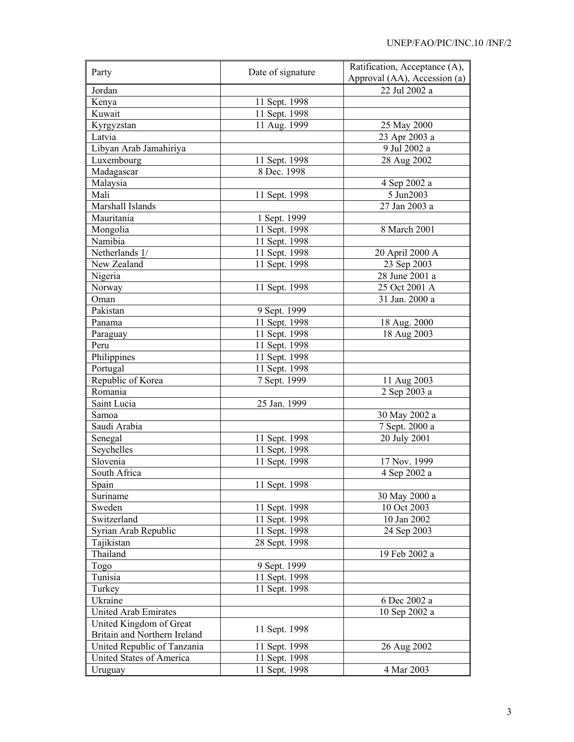| Party                        | Date of signature | Ratification, Acceptance (A), |  |  |
|------------------------------|-------------------|-------------------------------|--|--|
|                              |                   | Approval (AA), Accession (a)  |  |  |
| Jordan                       |                   | 22 Jul 2002 a                 |  |  |
| Kenya                        | 11 Sept. 1998     |                               |  |  |
| Kuwait                       | 11 Sept. 1998     |                               |  |  |
| Kyrgyzstan                   | 11 Aug. 1999      | 25 May 2000                   |  |  |
| Latvia                       |                   | 23 Apr 2003 a                 |  |  |
| Libyan Arab Jamahiriya       |                   | 9 Jul 2002 a                  |  |  |
| Luxembourg                   | 11 Sept. 1998     | 28 Aug 2002                   |  |  |
| Madagascar                   | 8 Dec. 1998       |                               |  |  |
| Malaysia                     |                   | 4 Sep 2002 a                  |  |  |
| Mali                         | 11 Sept. 1998     | 5 Jun2003                     |  |  |
| Marshall Islands             |                   | 27 Jan 2003 a                 |  |  |
| Mauritania                   | 1 Sept. 1999      |                               |  |  |
| Mongolia                     | 11 Sept. 1998     | 8 March 2001                  |  |  |
| Namibia                      | 11 Sept. 1998     |                               |  |  |
| Netherlands 1/               | 11 Sept. 1998     | 20 April 2000 A               |  |  |
| New Zealand                  | 11 Sept. 1998     | 23 Sep 2003                   |  |  |
| Nigeria                      |                   | 28 June 2001 a                |  |  |
| Norway                       | 11 Sept. 1998     | 25 Oct 2001 A                 |  |  |
| Oman                         |                   | 31 Jan. 2000 a                |  |  |
| Pakistan                     | 9 Sept. 1999      |                               |  |  |
| Panama                       | 11 Sept. 1998     | 18 Aug. 2000                  |  |  |
| Paraguay                     | 11 Sept. 1998     | 18 Aug 2003                   |  |  |
| Peru                         | 11 Sept. 1998     |                               |  |  |
| Philippines                  | 11 Sept. 1998     |                               |  |  |
| Portugal                     | 11 Sept. 1998     |                               |  |  |
| Republic of Korea            | 7 Sept. 1999      | 11 Aug 2003                   |  |  |
| Romania                      |                   | 2 Sep 2003 a                  |  |  |
| Saint Lucia                  | 25 Jan. 1999      |                               |  |  |
| Samoa                        |                   | 30 May 2002 a                 |  |  |
| Saudi Arabia                 |                   | 7 Sept. 2000 a                |  |  |
| Senegal                      | 11 Sept. 1998     | 20 July 2001                  |  |  |
| Seychelles                   | 11 Sept. 1998     |                               |  |  |
| Slovenia                     | 11 Sept. 1998     | 17 Nov. 1999                  |  |  |
| South Africa                 |                   | 4 Sep 2002 a                  |  |  |
| Spain                        | 11 Sept. 1998     |                               |  |  |
| Suriname                     |                   | 30 May 2000 a                 |  |  |
| Sweden                       | 11 Sept. 1998     | 10 Oct 2003                   |  |  |
| Switzerland                  | 11 Sept. 1998     | 10 Jan 2002                   |  |  |
| Syrian Arab Republic         | 11 Sept. 1998     | 24 Sep 2003                   |  |  |
| Tajikistan                   | 28 Sept. 1998     |                               |  |  |
| Thailand                     |                   | 19 Feb 2002 a                 |  |  |
| Togo                         | 9 Sept. 1999      |                               |  |  |
| Tunisia                      | 11 Sept. 1998     |                               |  |  |
| Turkey                       | 11 Sept. 1998     |                               |  |  |
| Ukraine                      |                   | 6 Dec 2002 a                  |  |  |
| <b>United Arab Emirates</b>  |                   | 10 Sep 2002 a                 |  |  |
| United Kingdom of Great      |                   |                               |  |  |
| Britain and Northern Ireland | 11 Sept. 1998     |                               |  |  |
| United Republic of Tanzania  | 11 Sept. 1998     | 26 Aug 2002                   |  |  |
| United States of America     | 11 Sept. 1998     |                               |  |  |
| Uruguay                      | 11 Sept. 1998     | 4 Mar 2003                    |  |  |